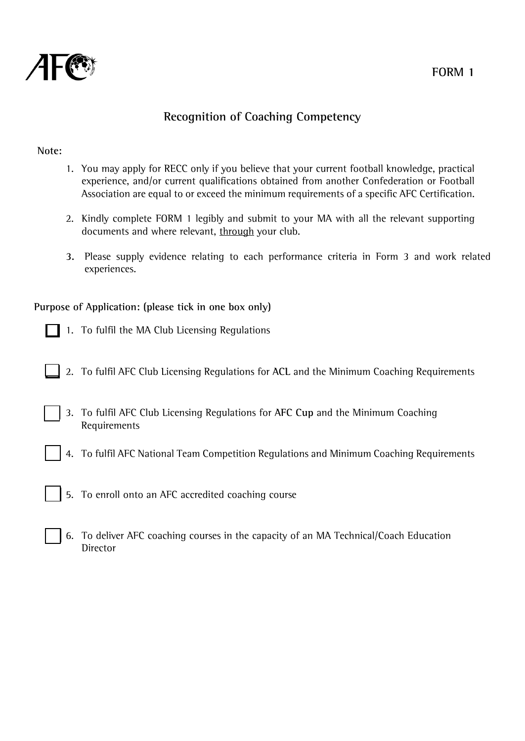

# **Recognition of Coaching Competency**

#### **Note:**

- 1. You may apply for RECC only if you believe that your current football knowledge, practical experience, and/or current qualifications obtained from another Confederation or Football Association are equal to or exceed the minimum requirements of a specific AFC Certification.
- 2. Kindly complete FORM 1 legibly and submit to your MA with all the relevant supporting documents and where relevant, through your club.
- **3.** Please supply evidence relating to each performance criteria in Form 3 and work related experiences.

### **Purpose of Application: (please tick in one box only)**

- 1. To fulfil the MA Club Licensing Regulations
- 2. To fulfil AFC Club Licensing Regulations for **ACL** and the Minimum Coaching Requirements
- 3. To fulfil AFC Club Licensing Regulations for **AFC Cup** and the Minimum Coaching Requirements
	- 4. To fulfil AFC National Team Competition Regulations and Minimum Coaching Requirements
- 5. To enroll onto an AFC accredited coaching course
- 6. To deliver AFC coaching courses in the capacity of an MA Technical/Coach Education Director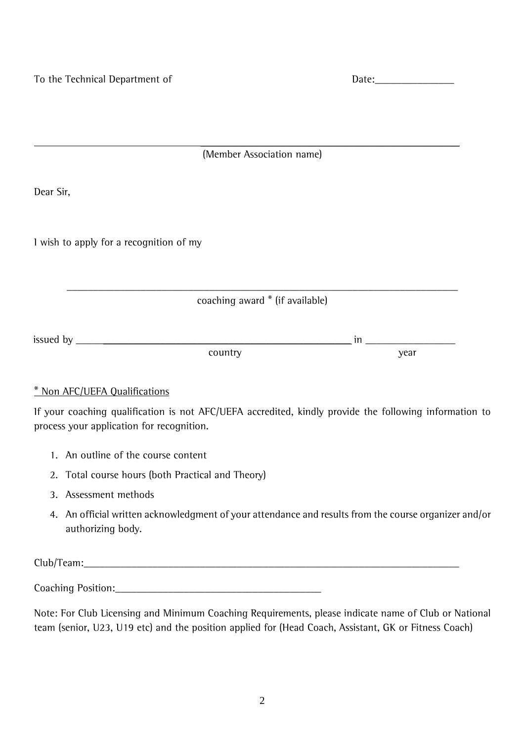| Jate: |  |  |  |
|-------|--|--|--|
|       |  |  |  |

\_\_\_\_\_\_\_\_\_\_\_\_\_\_\_\_\_\_\_\_\_\_\_\_\_\_\_\_\_\_\_\_\_\_\_\_\_\_\_\_\_\_\_\_\_\_\_\_\_ (Member Association name)

Dear Sir,

I wish to apply for a recognition of my

\_\_\_\_\_\_\_\_\_\_\_\_\_\_\_\_\_\_\_\_\_\_\_\_\_\_\_\_\_\_\_\_\_\_\_\_\_\_\_\_\_\_\_\_\_\_\_\_\_\_\_\_\_\_\_\_\_\_\_\_\_\_\_\_\_\_\_\_\_\_\_\_\_\_ coaching award \* (if available)

| $\ddot{\phantom{1}}$<br>issued b<br>hv<br>ູ |         | .<br>. |                               |
|---------------------------------------------|---------|--------|-------------------------------|
|                                             | $\cdot$ |        | <b>Mear</b><br>саг<br>$\cdot$ |

### \* Non AFC/UEFA Qualifications

If your coaching qualification is not AFC/UEFA accredited, kindly provide the following information to process your application for recognition.

- 1. An outline of the course content
- 2. Total course hours (both Practical and Theory)
- 3. Assessment methods
- 4. An official written acknowledgment of your attendance and results from the course organizer and/or authorizing body.

Club/Team:\_\_\_\_\_\_\_\_\_\_\_\_\_\_\_\_\_\_\_\_\_\_\_\_\_\_\_\_\_\_\_\_\_\_\_\_\_\_\_\_\_\_\_\_\_\_\_\_\_\_\_\_\_\_\_\_\_\_\_\_\_\_\_\_\_\_\_\_\_\_\_

Coaching Position:\_\_\_\_\_\_\_\_\_\_\_\_\_\_\_\_\_\_\_\_\_\_\_\_\_\_\_\_\_\_\_\_\_\_\_\_\_\_\_

Note: For Club Licensing and Minimum Coaching Requirements, please indicate name of Club or National team (senior, U23, U19 etc) and the position applied for (Head Coach, Assistant, GK or Fitness Coach)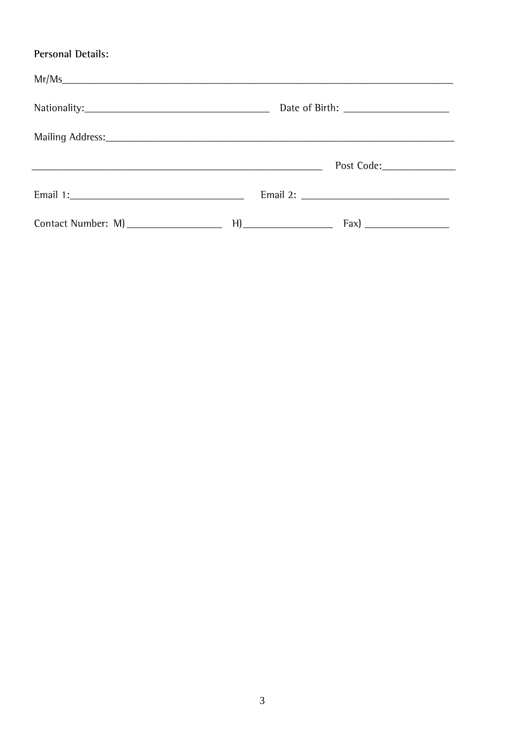### Personal Details:

|                                      | Post Code:______________ |
|--------------------------------------|--------------------------|
|                                      |                          |
| Contact Number: M) _________________ |                          |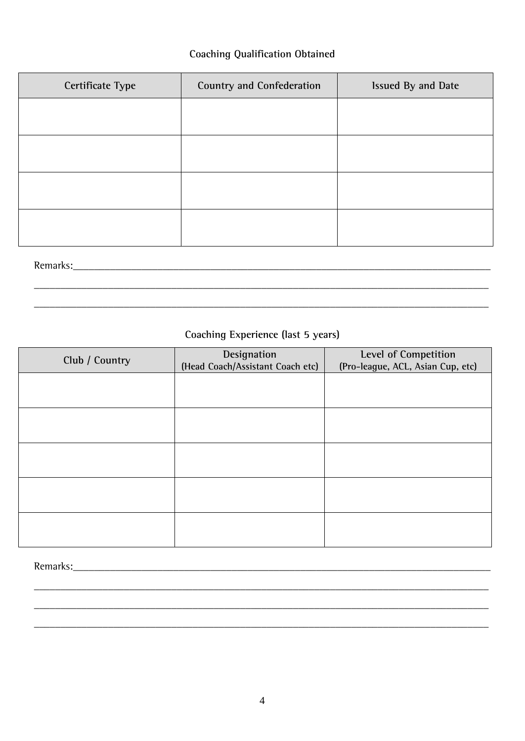### **Coaching Qualification Obtained**

| Certificate Type | Country and Confederation | Issued By and Date |
|------------------|---------------------------|--------------------|
|                  |                           |                    |
|                  |                           |                    |
|                  |                           |                    |
|                  |                           |                    |
|                  |                           |                    |
|                  |                           |                    |
|                  |                           |                    |
| Remarks:         |                           |                    |

## Coaching Experience (last 5 years)

| Club / Country | Designation<br>(Head Coach/Assistant Coach etc) | Level of Competition<br>(Pro-league, ACL, Asian Cup, etc) |
|----------------|-------------------------------------------------|-----------------------------------------------------------|
|                |                                                 |                                                           |
|                |                                                 |                                                           |
|                |                                                 |                                                           |
|                |                                                 |                                                           |
|                |                                                 |                                                           |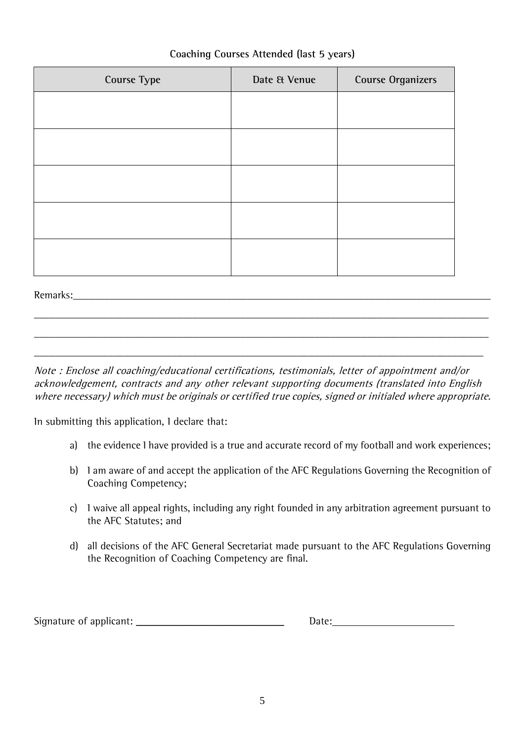| <b>Course Type</b> | Date & Venue | <b>Course Organizers</b> |
|--------------------|--------------|--------------------------|
|                    |              |                          |
|                    |              |                          |
|                    |              |                          |
|                    |              |                          |
|                    |              |                          |

### **Coaching Courses Attended (last 5 years)**

Remarks:

Note : Enclose all coaching/educational certifications, testimonials, letter of appointment and/or acknowledgement, contracts and any other relevant supporting documents (translated into English where necessary) which must be originals or certified true copies, signed or initialed where appropriate.

\_\_\_\_\_\_\_\_\_\_\_\_\_\_\_\_\_\_\_\_\_\_\_\_\_\_\_\_\_\_\_\_\_\_\_\_\_\_\_\_\_\_\_\_\_\_\_\_\_\_\_\_\_\_\_\_\_\_\_\_\_\_\_\_\_\_\_\_\_\_\_\_\_\_\_\_\_\_\_\_\_\_\_\_\_\_

\_\_\_\_\_\_\_\_\_\_\_\_\_\_\_\_\_\_\_\_\_\_\_\_\_\_\_\_\_\_\_\_\_\_\_\_\_\_\_\_\_\_\_\_\_\_\_\_\_\_\_\_\_\_\_\_\_\_\_\_\_\_\_\_\_\_\_\_\_\_\_\_\_\_\_\_\_\_\_\_\_\_\_\_\_\_

\_\_\_\_\_\_\_\_\_\_\_\_\_\_\_\_\_\_\_\_\_\_\_\_\_\_\_\_\_\_\_\_\_\_\_\_\_\_\_\_\_\_\_\_\_\_\_\_\_\_\_\_\_\_\_\_\_\_\_\_\_\_\_\_\_\_\_\_\_\_\_\_\_\_\_\_\_\_\_\_\_\_\_\_\_

In submitting this application, I declare that:

- a) the evidence I have provided is a true and accurate record of my football and work experiences;
- b) I am aware of and accept the application of the AFC Regulations Governing the Recognition of Coaching Competency;
- c) I waive all appeal rights, including any right founded in any arbitration agreement pursuant to the AFC Statutes; and
- d) all decisions of the AFC General Secretariat made pursuant to the AFC Regulations Governing the Recognition of Coaching Competency are final.

Signature of applicant: \_\_\_\_\_\_\_\_\_\_\_\_\_\_\_\_\_\_\_\_\_\_\_\_\_\_\_\_ Date:

| Date: |  |
|-------|--|
|       |  |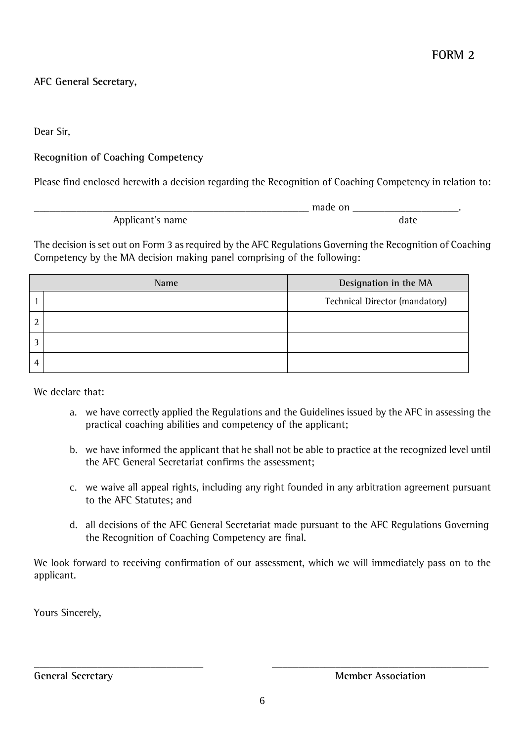**AFC General Secretary,**

Dear Sir,

### **Recognition of Coaching Competency**

Please find enclosed herewith a decision regarding the Recognition of Coaching Competency in relation to:

 $\Box$  made on  $\Box$ Applicant's name date

The decision is set out on Form 3 as required by the AFC Regulations Governing the Recognition of Coaching Competency by the MA decision making panel comprising of the following:

|   | Name | Designation in the MA          |
|---|------|--------------------------------|
|   |      | Technical Director (mandatory) |
|   |      |                                |
|   |      |                                |
| 4 |      |                                |

We declare that:

- a. we have correctly applied the Regulations and the Guidelines issued by the AFC in assessing the practical coaching abilities and competency of the applicant;
- b. we have informed the applicant that he shall not be able to practice at the recognized level until the AFC General Secretariat confirms the assessment;
- c. we waive all appeal rights, including any right founded in any arbitration agreement pursuant to the AFC Statutes; and
- d. all decisions of the AFC General Secretariat made pursuant to the AFC Regulations Governing the Recognition of Coaching Competency are final.

We look forward to receiving confirmation of our assessment, which we will immediately pass on to the applicant.

Yours Sincerely,

\_\_\_\_\_\_\_\_\_\_\_\_\_\_\_\_\_\_\_\_\_\_\_\_\_\_\_\_\_\_\_\_ \_\_\_\_\_\_\_\_\_\_\_\_\_\_\_\_\_\_\_\_\_\_\_\_\_\_\_\_\_\_\_\_\_\_\_\_\_\_\_\_\_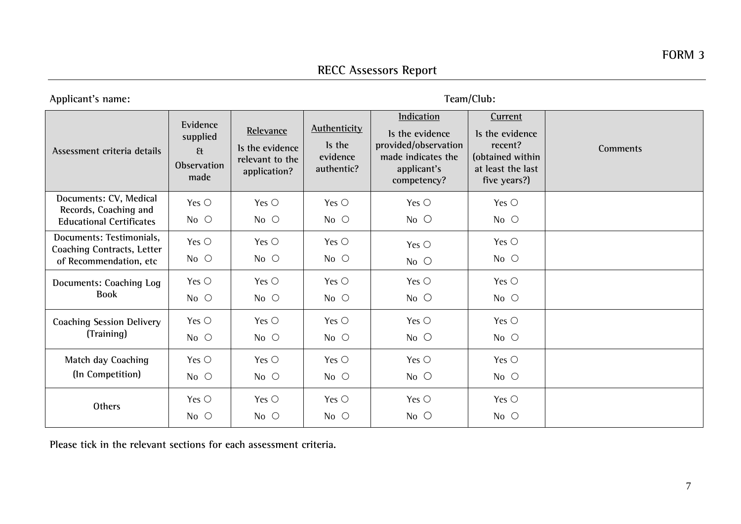Applicant's name: Team/Club:

| Assessment criteria details                                                             | Evidence<br>supplied<br>$\mathfrak{g}$<br>Observation<br>made | Relevance<br>Is the evidence<br>relevant to the<br>application? | <b>Authenticity</b><br>Is the<br>evidence<br>authentic? | <b>Indication</b><br>Is the evidence<br>provided/observation<br>made indicates the<br>applicant's<br>competency? | Current<br>Is the evidence<br>recent?<br>(obtained within<br>at least the last<br>five years?) | Comments |
|-----------------------------------------------------------------------------------------|---------------------------------------------------------------|-----------------------------------------------------------------|---------------------------------------------------------|------------------------------------------------------------------------------------------------------------------|------------------------------------------------------------------------------------------------|----------|
| Documents: CV, Medical<br>Records, Coaching and<br><b>Educational Certificates</b>      | Yes $\bigcirc$<br>$No$ $O$                                    | Yes $\circ$<br>$No$ $O$                                         | Yes $\circ$<br>No $\circ$                               | Yes $\bigcirc$<br>$No$ $O$                                                                                       | Yes $\circlearrowright$<br>$No$ $O$                                                            |          |
| Documents: Testimonials,<br><b>Coaching Contracts, Letter</b><br>of Recommendation, etc | Yes $\bigcirc$<br>$No$ $O$                                    | Yes $\bigcirc$<br>$No$ $\bigcirc$                               | Yes $\bigcirc$<br>$No$ $O$                              | Yes $\bigcirc$<br>$No$ $O$                                                                                       | Yes $\circlearrowright$<br>$No$ $O$                                                            |          |
| Documents: Coaching Log<br><b>Book</b>                                                  | Yes $\bigcirc$<br>$No$ $O$                                    | Yes $\bigcirc$<br>$No$ $\bigcirc$                               | Yes $\circlearrowright$<br>$No$ $\bigcirc$              | Yes $\circ$<br>$No$ $O$                                                                                          | Yes $\circlearrowright$<br>$No$ $O$                                                            |          |
| <b>Coaching Session Delivery</b><br>(Training)                                          | Yes $\bigcirc$<br>No $\circ$                                  | Yes $\circlearrowright$<br>No $\circ$                           | Yes $\circlearrowright$<br>No $\circ$                   | Yes $\circlearrowright$<br>$No$ $O$                                                                              | Yes $\circlearrowright$<br>$No$ $O$                                                            |          |
| Match day Coaching<br>(In Competition)                                                  | Yes $\bigcirc$<br>$No$ $\bigcirc$                             | Yes $\bigcirc$<br>$No$ $\bigcirc$                               | Yes $\bigcirc$<br>$No$ $O$                              | Yes $\bigcirc$<br>$No$ $O$                                                                                       | Yes $\circlearrowright$<br>$No$ $O$                                                            |          |
| <b>Others</b>                                                                           | Yes $\circ$<br>$No$ $O$                                       | Yes $\bigcirc$<br>$No$ $O$                                      | Yes $\bigcirc$<br>$No$ $O$                              | Yes $\bigcirc$<br>$No$ $O$                                                                                       | Yes $\circlearrowright$<br>$No$ $O$                                                            |          |

**Please tick in the relevant sections for each assessment criteria.**